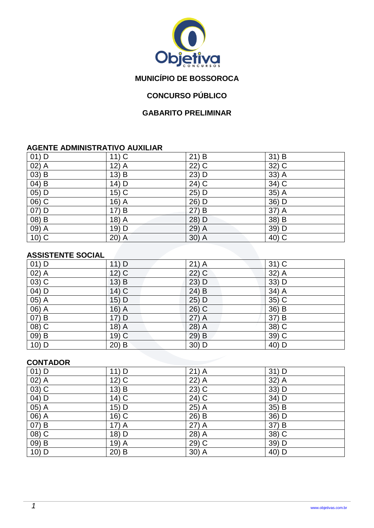

# **MUNICÍPIO DE BOSSOROCA**

# **CONCURSO PÚBLICO**

### **GABARITO PRELIMINAR**

#### **AGENTE ADMINISTRATIVO AUXILIAR**

| $01)$ D           | $11)$ C            | 21) B   | $31)$ B            |
|-------------------|--------------------|---------|--------------------|
| $02)$ A           | $12)$ A            | $22)$ C | 32) C              |
| $(03)$ B          | $13) \overline{B}$ | 23) D   | 33) A              |
| $04)$ B           | 14) D              | $24)$ C | 34) C              |
| $05)$ D           | $15)$ C            | 25) D   | 35) A              |
| $06)$ C           | 16) $\overline{A}$ | 26) D   | 36) D              |
| $07)$ D           | 17) B              | 27) B   | 37) A              |
| $(08)$ B          | $18)$ A            | 28) D   | $38) \overline{B}$ |
| $\overline{09}$ A | 19) D              | 29) A   | 39) D              |
| $10)$ C           | $20)$ A            | $30)$ A | 40) C              |

### **ASSISTENTE SOCIAL**

| $01)$ D            | $11)$ D | $21)$ A | $31)$ C |
|--------------------|---------|---------|---------|
| $02)$ A            | $12)$ C | $22)$ C | 32) A   |
| $(03)$ C           | $13)$ B | 23) D   | 33) D   |
| $04)$ D            | $14)$ C | $24)$ B | 34) A   |
| $\overline{05)}$ A | 15) D   | 25) D   | $35)$ C |
| 06) A              | $16)$ A | $26)$ C | 36) B   |
| 07) B              | 17) D   | 27) A   | 37) B   |
| 08) C              | $18)$ A | 28) A   | 38) C   |
| 09) B              | $19)$ C | 29) B   | 39) C   |
| 10) D              | $20)$ B | $30)$ D | 40) D   |

#### **CONTADOR**

| $01)$ D                        | $11)$ D | $21)$ A           | $31)$ D |
|--------------------------------|---------|-------------------|---------|
| $\overline{02)}$ A             | $12)$ C | 22) A             | 32) A   |
| $(03)$ C                       | $13)$ B | $23)$ C           | 33) D   |
| $04)$ D                        | $14)$ C | $24\overline{)C}$ | 34) D   |
| $05)$ A                        | 15) D   | 25) A             | 35) B   |
| 06) A                          | 16) C   | $26)$ B           | 36) D   |
| 07) B                          | $17)$ A | $27)$ A           | 37) B   |
| $(08)$ C                       | 18) D   | 28) A             | 38) C   |
| $\overline{09}$ $\overline{B}$ | $19)$ A | 29) C             | 39) D   |
| $10)$ D                        | $20)$ B | $30)$ A           | 40) D   |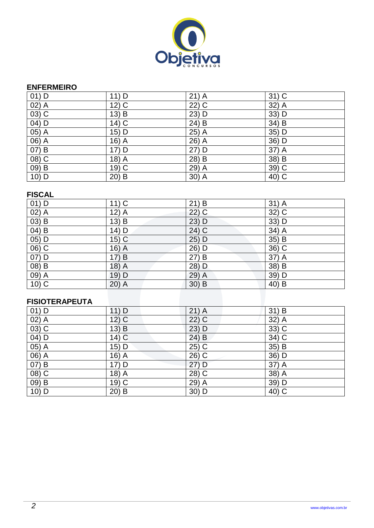

#### **ENFERMEIRO**

| $01)$ D             | 11) D   | $21)$ A | $31)$ C |
|---------------------|---------|---------|---------|
| $(02)$ A            | $12)$ C | 22) C   | 32) A   |
| $\overline{03}$ C   | 13) B   | $23)$ D | 33) D   |
| $04)$ D             | $14)$ C | $24)$ B | $34)$ B |
| $05)$ A             | 15) D   | $25)$ A | 35) D   |
| $\overline{06}$ $A$ | $16)$ A | $26)$ A | $36)$ D |
| 07) B               | 17) D   | 27) D   | 37) A   |
| 08) C               | 18) A   | 28) B   | 38) B   |
| $09)$ B             | 19) C   | 29) A   | 39) C   |
| $10)$ D             | $20)$ B | $30)$ A | 40) C   |

### **FISCAL**

| $01)$ D             | $11)$ C | $21)$ B             | $31)$ A |
|---------------------|---------|---------------------|---------|
| $02)$ A             | $12)$ A | $22)$ C             | 32) C   |
| $(03)$ B            | $13)$ B | 23) D               | 33) D   |
| $(04)$ B            | 14) D   | $\overline{24}$ ) C | $34)$ A |
| $05)$ D             | $15)$ C | $25)$ D             | 35) B   |
| $\overline{06}$ ) C | $16)$ A | 26) D               | $36)$ C |
| 07) D               | 17) B   | 27) B               | 37) A   |
| $(08)$ B            | $18)$ A | 28) D               | 38) B   |
| $09)$ A             | 19) D   | 29) A               | $39)$ D |
| $10)$ C             | $20)$ A | $30)$ B             | 40) B   |

### **FISIOTERAPEUTA**

| $01)$ D  | $11)$ D                   | $21)$ A             | $31)$ B           |
|----------|---------------------------|---------------------|-------------------|
| $02)$ A  | $12)$ C                   | $22)$ C             | 32) A             |
| $(03)$ C | $13\overline{\smash{)}B}$ | 23) D               | $33)$ C           |
| 04) D    | $14)\overline{C}$         | $24)$ B             | 34) C             |
| 05) A    | 15) D                     | $25)$ C             | 35) B             |
| 06) A    | 16) A                     | $26)$ C             | $36)$ D           |
| $07)$ B  | 17) D                     | 27) D               | 37) A             |
| $(08)$ C | 18) $\overline{A}$        | $\overline{28}$ ) C | $38)$ A           |
| $09)$ B  | $19)$ C                   | 29) A               | 39) D             |
| $10)$ D  | $20)$ B                   | 30) D               | $40\overline{)C}$ |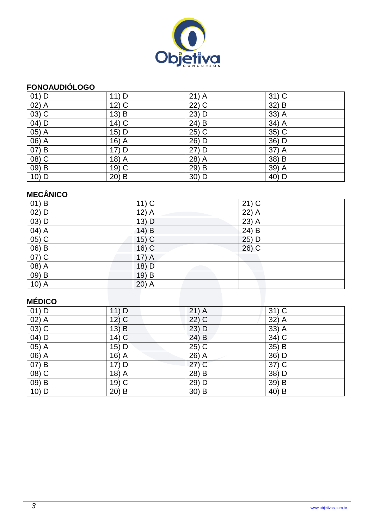

## **FONOAUDIÓLOGO**

| $01)$ D           | 11) D              | $21)$ A | $31)$ C            |
|-------------------|--------------------|---------|--------------------|
| $02)$ A           | $12)$ C            | 22) C   | 32) B              |
| $(03)$ C          | $13)$ B            | $23)$ D | 33) A              |
| $04)$ D           | $14)$ C            | $24)$ B | $34)$ A            |
| 05) A             | 15) D              | $25)$ C | 35) C              |
| 06) A             | 16) $\overline{A}$ | 26) D   | 36) D              |
| 07) B             | $17)$ D            | $27)$ D | $37)$ A            |
| 08) C             | $18)$ A            | 28) A   | $38) \overline{B}$ |
| $\overline{09}$ B | 19) C              | 29) B   | 39) A              |
| $10)$ D           | $20)$ B            | $30)$ D | 40) D              |

# **MECÂNICO**

| $01)$ B            | $11)$ C | $21)$ C |
|--------------------|---------|---------|
| $02)$ D            | $12)$ A | 22) A   |
| $(03)$ D           | $13)$ D | $23)$ A |
| $04)$ A            | 14) B   | $24)$ B |
| $\overline{05) C}$ | $15)$ C | $25)$ D |
| $(06)$ B           | $16)$ C | $26)$ C |
| $07)$ C            | $17)$ A |         |
| $(08)$ A           | 18) D   |         |
| $\overline{09}$ B  | $19)$ B |         |
| $10)$ A            | $20)$ A |         |
|                    |         |         |
| <b>MÉDICO</b>      |         |         |

# **MÉDICO**

| $01)$ D  | 11) D              | $21)$ A | $31)$ C |
|----------|--------------------|---------|---------|
| $(02)$ A | $12)$ C            | $22)$ C | $32)$ A |
| $(03)$ C | $13)$ B            | 23) D   | $33)$ A |
| $(04)$ D | $14)$ C            | 24) B   | $34)$ C |
| $05)$ A  | 15) D              | $25)$ C | 35) B   |
| $06)$ A  | 16) $\overline{A}$ | 26) A   | 36) D   |
| 07) B    | 17) D              | $27)$ C | $37)$ C |
| $(08)$ C | 18) A              | 28) B   | 38) D   |
| $(09)$ B | 19) C              | 29) D   | 39) B   |
| 10) D    | $20)$ B            | $30)$ B | 40) B   |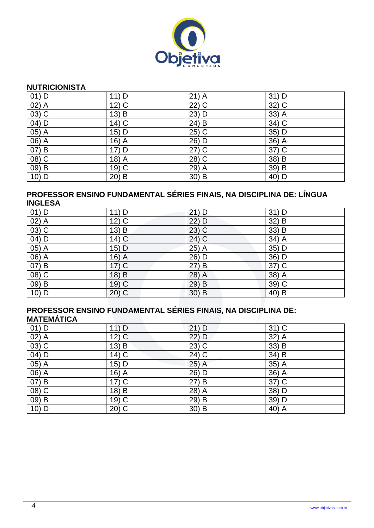

#### **NUTRICIONISTA**

| $01)$ D            | 11) D   | $21)$ A | $31)$ D |
|--------------------|---------|---------|---------|
| $\overline{02)}$ A | $12)$ C | $22)$ C | 32) C   |
| 03) C              | $13)$ B | 23) D   | 33) A   |
| $(04)$ D           | $14)$ C | $24)$ B | $34)$ C |
| $(05)$ A           | 15) D   | 25) C   | $35)$ D |
| 06) A              | 16) A   | 26) D   | 36) A   |
| $07)$ B            | 17) D   | $27)$ C | 37) C   |
| $(08)$ C           | $18)$ A | 28) C   | $38)$ B |
| 09) B              | 19) C   | 29) A   | 39) B   |
| 10) D              | $20)$ B | $30)$ B | 40) D   |

### **PROFESSOR ENSINO FUNDAMENTAL SÉRIES FINAIS, NA DISCIPLINA DE: LÍNGUA INGLESA**

| $01)$ D  | $11)$ D            | $21)$ D | $31)$ D |
|----------|--------------------|---------|---------|
| $02)$ A  | $12)$ C            | 22) D   | 32) B   |
| $(03)$ C | 13) $\overline{B}$ | $23)$ C | 33) B   |
| $04)$ D  | $14)$ C            | $24)$ C | $34)$ A |
| $05)$ A  | $15)$ D            | $25)$ A | 35) D   |
| $06)$ A  | 16) $\overline{A}$ | 26) D   | $36)$ D |
| $07)$ B  | $17)$ C            | 27) B   | $37)$ C |
| $(08)$ C | 18) B              | 28) A   | 38) A   |
| 09) B    | 19) C              | 29) B   | 39) C   |
| 10) D    | $20)$ C            | $30)$ B | $40)$ B |

#### **PROFESSOR ENSINO FUNDAMENTAL SÉRIES FINAIS, NA DISCIPLINA DE: MATEMÁTICA**

| $01)$ D  | 11) D   | $21)$ D | $31)$ C           |
|----------|---------|---------|-------------------|
| $02)$ A  | $12)$ C | 22) D   | 32) A             |
| $(03)$ C | $13)$ B | $23)$ C | 33) B             |
| 04) D    | $14)$ C | 24) C   | 34) B             |
| 05) A    | 15) D   | 25) A   | 35) A             |
| 06) A    | $16)$ A | 26) D   | $36)$ A           |
| 07) B    | $17)$ C | 27) B   | $37)$ C           |
| 08) C    | 18) B   | 28) A   | 38) D             |
| 09) B    | $19)$ C | 29) B   | 39) D             |
| 10) D    | $20)$ C | $30)$ B | $\overline{40}$ A |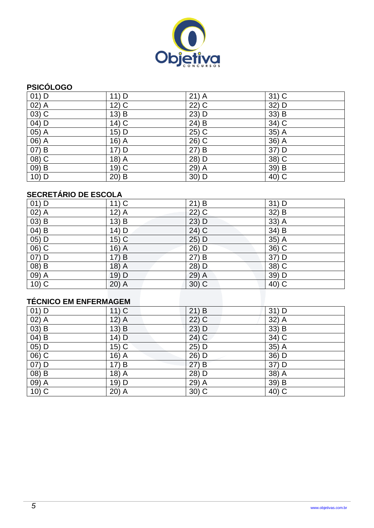

## **PSICÓLOGO**

| $01)$ D  | 11) D   | $21)$ A             | $31)$ C |
|----------|---------|---------------------|---------|
| $02)$ A  | $12)$ C | $\overline{22}$ ) C | 32) D   |
| $03)$ C  | 13) B   | 23) D               | 33) B   |
| $04)$ D  | $14)$ C | 24) B               | 34) C   |
| $05)$ A  | 15) D   | 25) C               | $35)$ A |
| 06) A    | $16)$ A | 26) C               | 36) A   |
| 07) B    | 17) D   | 27) B               | 37) D   |
| $(08)$ C | 18) A   | 28) D               | 38) C   |
| $(09)$ B | 19) C   | 29) A               | 39) B   |
| $10)$ D  | $20)$ B | 30) D               | 40) C   |

# **SECRETÁRIO DE ESCOLA**

| $01)$ D                      | $11)$ C | $21)$ B | 31) D |  |  |
|------------------------------|---------|---------|-------|--|--|
| $02)$ A                      | $12)$ A | $22)$ C | 32) B |  |  |
| $03)$ B                      | $13)$ B | 23) D   | 33) A |  |  |
| $04)$ B                      | 14) D   | 24) C   | 34) B |  |  |
| 05) D                        | $15)$ C | 25) D   | 35) A |  |  |
| 06) C                        | $16)$ A | 26) D   | 36) C |  |  |
| 07) D                        | 17) B   | 27) B   | 37) D |  |  |
| 08) B                        | 18) A   | 28) D   | 38) C |  |  |
| 09) A                        | $19)$ D | $29)$ A | 39) D |  |  |
| $10)$ C                      | $20)$ A | $30)$ C | 40) C |  |  |
|                              |         |         |       |  |  |
| <b>TÉCNICO EM ENFERMAGEM</b> |         |         |       |  |  |

# **TÉCNICO EM ENFERMAGEM**

| $01)$ D                        | $11)$ C            | 21) B   | 31) D   |
|--------------------------------|--------------------|---------|---------|
| $02)$ A                        | $12)$ A            | $22)$ C | 32) A   |
| $(03)$ B                       | $13)$ B            | 23) D   | 33) B   |
| $\overline{04}$ $\overline{B}$ | $14)$ D            | $24)$ C | 34) C   |
| $05)$ D                        | $15)$ C            | $25)$ D | 35) A   |
| $(06)$ $C$                     | 16) $\overline{A}$ | 26) D   | 36) D   |
| $07)$ D                        | 17) B              | 27) B   | 37) D   |
| $(08)$ B                       | 18) A              | 28) D   | $38)$ A |
| $\overline{09}$ $\overline{A}$ | 19) D              | 29) A   | 39) B   |
| $10)$ C                        | $20)$ A            | $30)$ C | 40) C   |